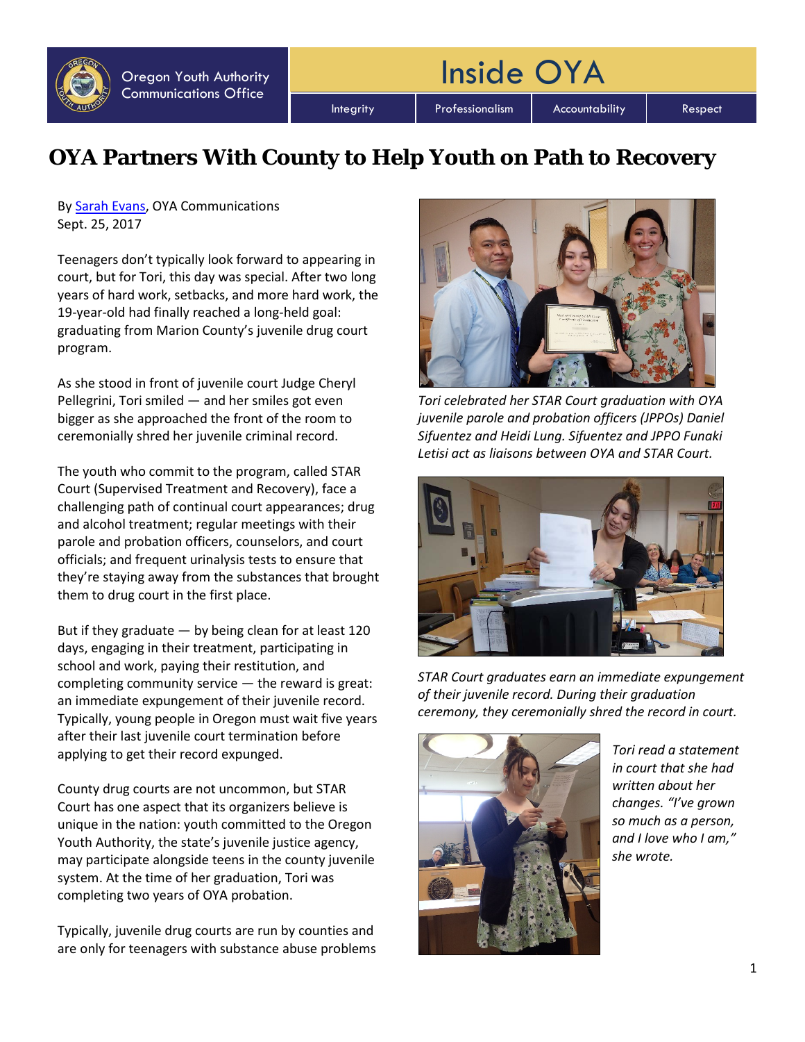Integrity | Professionalism | Accountability | Respect

Inside OYA

## **OYA Partners With County to Help Youth on Path to Recovery**

By [Sarah Evans,](mailto:sarah.j.evans@oya.state.or.us) OYA Communications Sept. 25, 2017

Teenagers don't typically look forward to appearing in court, but for Tori, this day was special. After two long years of hard work, setbacks, and more hard work, the 19-year-old had finally reached a long-held goal: graduating from Marion County's juvenile drug court program.

As she stood in front of juvenile court Judge Cheryl Pellegrini, Tori smiled — and her smiles got even bigger as she approached the front of the room to ceremonially shred her juvenile criminal record.

The youth who commit to the program, called STAR Court (Supervised Treatment and Recovery), face a challenging path of continual court appearances; drug and alcohol treatment; regular meetings with their parole and probation officers, counselors, and court officials; and frequent urinalysis tests to ensure that they're staying away from the substances that brought them to drug court in the first place.

But if they graduate  $-$  by being clean for at least 120 days, engaging in their treatment, participating in school and work, paying their restitution, and completing community service — the reward is great: an immediate expungement of their juvenile record. Typically, young people in Oregon must wait five years after their last juvenile court termination before applying to get their record expunged.

County drug courts are not uncommon, but STAR Court has one aspect that its organizers believe is unique in the nation: youth committed to the Oregon Youth Authority, the state's juvenile justice agency, may participate alongside teens in the county juvenile system. At the time of her graduation, Tori was completing two years of OYA probation.

Typically, juvenile drug courts are run by counties and are only for teenagers with substance abuse problems



*Tori celebrated her STAR Court graduation with OYA juvenile parole and probation officers (JPPOs) Daniel Sifuentez and Heidi Lung. Sifuentez and JPPO Funaki Letisi act as liaisons between OYA and STAR Court.*



*STAR Court graduates earn an immediate expungement of their juvenile record. During their graduation ceremony, they ceremonially shred the record in court.*



*Tori read a statement in court that she had written about her changes. "I've grown so much as a person, and I love who I am," she wrote.*